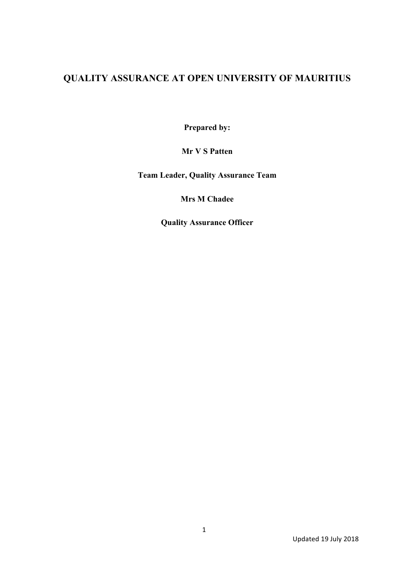## **QUALITY ASSURANCE AT OPEN UNIVERSITY OF MAURITIUS**

**Prepared by:** 

**Mr V S Patten**

**Team Leader, Quality Assurance Team**

**Mrs M Chadee**

**Quality Assurance Officer**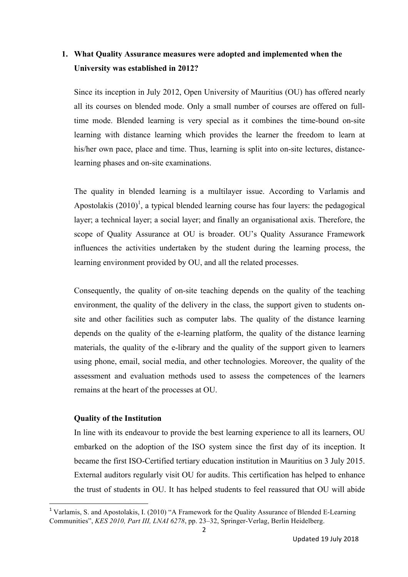## **1. What Quality Assurance measures were adopted and implemented when the University was established in 2012?**

Since its inception in July 2012, Open University of Mauritius (OU) has offered nearly all its courses on blended mode. Only a small number of courses are offered on fulltime mode. Blended learning is very special as it combines the time-bound on-site learning with distance learning which provides the learner the freedom to learn at his/her own pace, place and time. Thus, learning is split into on-site lectures, distancelearning phases and on-site examinations.

The quality in blended learning is a multilayer issue. According to Varlamis and Apostolakis  $(2010)^1$ , a typical blended learning course has four layers: the pedagogical layer; a technical layer; a social layer; and finally an organisational axis. Therefore, the scope of Quality Assurance at OU is broader. OU's Quality Assurance Framework influences the activities undertaken by the student during the learning process, the learning environment provided by OU, and all the related processes.

Consequently, the quality of on-site teaching depends on the quality of the teaching environment, the quality of the delivery in the class, the support given to students onsite and other facilities such as computer labs. The quality of the distance learning depends on the quality of the e-learning platform, the quality of the distance learning materials, the quality of the e-library and the quality of the support given to learners using phone, email, social media, and other technologies. Moreover, the quality of the assessment and evaluation methods used to assess the competences of the learners remains at the heart of the processes at OU.

### **Quality of the Institution**

<u> 1989 - Jan Samuel Barbara, político establecido de la provincia de la provincia de la provincia de la provinci</u>

In line with its endeavour to provide the best learning experience to all its learners, OU embarked on the adoption of the ISO system since the first day of its inception. It became the first ISO-Certified tertiary education institution in Mauritius on 3 July 2015. External auditors regularly visit OU for audits. This certification has helped to enhance the trust of students in OU. It has helped students to feel reassured that OU will abide

<sup>&</sup>lt;sup>1</sup> Varlamis, S. and Apostolakis, I. (2010) "A Framework for the Quality Assurance of Blended E-Learning Communities", *KES 2010, Part III, LNAI 6278*, pp. 23–32, Springer-Verlag, Berlin Heidelberg.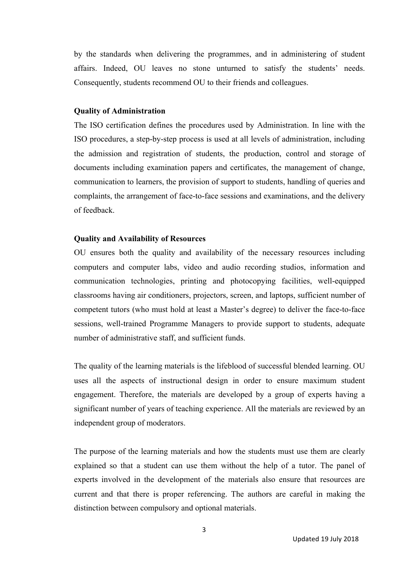by the standards when delivering the programmes, and in administering of student affairs. Indeed, OU leaves no stone unturned to satisfy the students' needs. Consequently, students recommend OU to their friends and colleagues.

#### **Quality of Administration**

The ISO certification defines the procedures used by Administration. In line with the ISO procedures, a step-by-step process is used at all levels of administration, including the admission and registration of students, the production, control and storage of documents including examination papers and certificates, the management of change, communication to learners, the provision of support to students, handling of queries and complaints, the arrangement of face-to-face sessions and examinations, and the delivery of feedback.

### **Quality and Availability of Resources**

OU ensures both the quality and availability of the necessary resources including computers and computer labs, video and audio recording studios, information and communication technologies, printing and photocopying facilities, well-equipped classrooms having air conditioners, projectors, screen, and laptops, sufficient number of competent tutors (who must hold at least a Master's degree) to deliver the face-to-face sessions, well-trained Programme Managers to provide support to students, adequate number of administrative staff, and sufficient funds.

The quality of the learning materials is the lifeblood of successful blended learning. OU uses all the aspects of instructional design in order to ensure maximum student engagement. Therefore, the materials are developed by a group of experts having a significant number of years of teaching experience. All the materials are reviewed by an independent group of moderators.

The purpose of the learning materials and how the students must use them are clearly explained so that a student can use them without the help of a tutor. The panel of experts involved in the development of the materials also ensure that resources are current and that there is proper referencing. The authors are careful in making the distinction between compulsory and optional materials.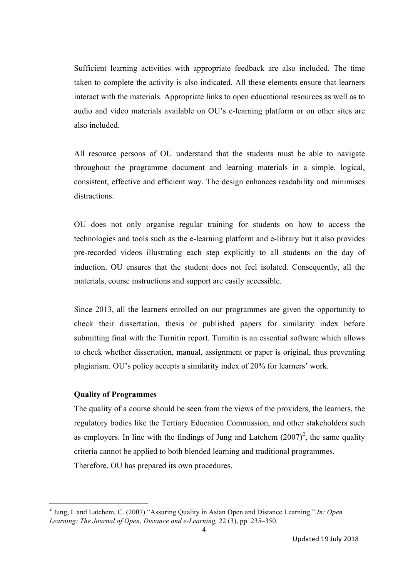Sufficient learning activities with appropriate feedback are also included. The time taken to complete the activity is also indicated. All these elements ensure that learners interact with the materials. Appropriate links to open educational resources as well as to audio and video materials available on OU's e-learning platform or on other sites are also included.

All resource persons of OU understand that the students must be able to navigate throughout the programme document and learning materials in a simple, logical, consistent, effective and efficient way. The design enhances readability and minimises distractions.

OU does not only organise regular training for students on how to access the technologies and tools such as the e-learning platform and e-library but it also provides pre-recorded videos illustrating each step explicitly to all students on the day of induction. OU ensures that the student does not feel isolated. Consequently, all the materials, course instructions and support are easily accessible.

Since 2013, all the learners enrolled on our programmes are given the opportunity to check their dissertation, thesis or published papers for similarity index before submitting final with the Turnitin report. Turnitin is an essential software which allows to check whether dissertation, manual, assignment or paper is original, thus preventing plagiarism. OU's policy accepts a similarity index of 20% for learners' work.

### **Quality of Programmes**

<u> 1989 - Jan Samuel Barbara, político establecido de la provincia de la provincia de la provincia de la provinci</u>

The quality of a course should be seen from the views of the providers, the learners, the regulatory bodies like the Tertiary Education Commission, and other stakeholders such as employers. In line with the findings of Jung and Latchem  $(2007)^2$ , the same quality criteria cannot be applied to both blended learning and traditional programmes. Therefore, OU has prepared its own procedures.

<sup>2</sup> Jung, I. and Latchem, C. (2007) "Assuring Quality in Asian Open and Distance Learning." *In: Open Learning: The Journal of Open, Distance and e-Learning,* 22 (3), pp. 235–350.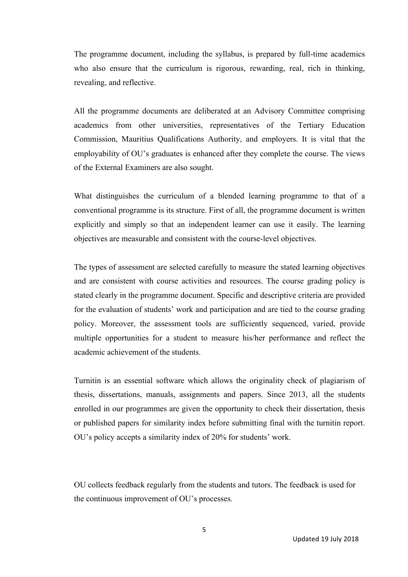The programme document, including the syllabus, is prepared by full-time academics who also ensure that the curriculum is rigorous, rewarding, real, rich in thinking, revealing, and reflective.

All the programme documents are deliberated at an Advisory Committee comprising academics from other universities, representatives of the Tertiary Education Commission, Mauritius Qualifications Authority, and employers. It is vital that the employability of OU's graduates is enhanced after they complete the course. The views of the External Examiners are also sought.

What distinguishes the curriculum of a blended learning programme to that of a conventional programme is its structure. First of all, the programme document is written explicitly and simply so that an independent learner can use it easily. The learning objectives are measurable and consistent with the course-level objectives.

The types of assessment are selected carefully to measure the stated learning objectives and are consistent with course activities and resources. The course grading policy is stated clearly in the programme document. Specific and descriptive criteria are provided for the evaluation of students' work and participation and are tied to the course grading policy. Moreover, the assessment tools are sufficiently sequenced, varied, provide multiple opportunities for a student to measure his/her performance and reflect the academic achievement of the students.

Turnitin is an essential software which allows the originality check of plagiarism of thesis, dissertations, manuals, assignments and papers. Since 2013, all the students enrolled in our programmes are given the opportunity to check their dissertation, thesis or published papers for similarity index before submitting final with the turnitin report. OU's policy accepts a similarity index of 20% for students' work.

OU collects feedback regularly from the students and tutors. The feedback is used for the continuous improvement of OU's processes.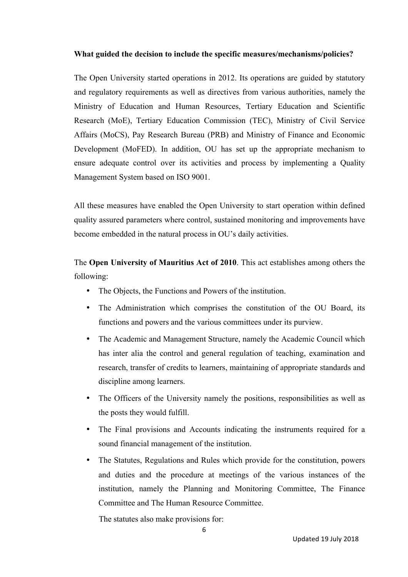### **What guided the decision to include the specific measures/mechanisms/policies?**

The Open University started operations in 2012. Its operations are guided by statutory and regulatory requirements as well as directives from various authorities, namely the Ministry of Education and Human Resources, Tertiary Education and Scientific Research (MoE), Tertiary Education Commission (TEC), Ministry of Civil Service Affairs (MoCS), Pay Research Bureau (PRB) and Ministry of Finance and Economic Development (MoFED). In addition, OU has set up the appropriate mechanism to ensure adequate control over its activities and process by implementing a Quality Management System based on ISO 9001.

All these measures have enabled the Open University to start operation within defined quality assured parameters where control, sustained monitoring and improvements have become embedded in the natural process in OU's daily activities.

The **Open University of Mauritius Act of 2010**. This act establishes among others the following:

- The Objects, the Functions and Powers of the institution.
- The Administration which comprises the constitution of the OU Board, its functions and powers and the various committees under its purview.
- The Academic and Management Structure, namely the Academic Council which has inter alia the control and general regulation of teaching, examination and research, transfer of credits to learners, maintaining of appropriate standards and discipline among learners.
- The Officers of the University namely the positions, responsibilities as well as the posts they would fulfill.
- The Final provisions and Accounts indicating the instruments required for a sound financial management of the institution.
- The Statutes, Regulations and Rules which provide for the constitution, powers and duties and the procedure at meetings of the various instances of the institution, namely the Planning and Monitoring Committee, The Finance Committee and The Human Resource Committee.

The statutes also make provisions for: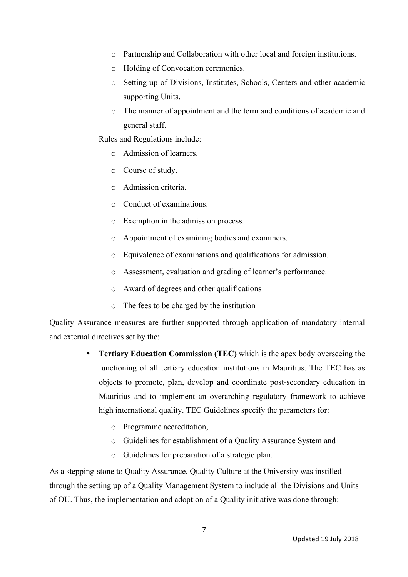- o Partnership and Collaboration with other local and foreign institutions.
- o Holding of Convocation ceremonies.
- o Setting up of Divisions, Institutes, Schools, Centers and other academic supporting Units.
- o The manner of appointment and the term and conditions of academic and general staff.

Rules and Regulations include:

- o Admission of learners.
- o Course of study.
- o Admission criteria.
- o Conduct of examinations.
- o Exemption in the admission process.
- o Appointment of examining bodies and examiners.
- o Equivalence of examinations and qualifications for admission.
- o Assessment, evaluation and grading of learner's performance.
- o Award of degrees and other qualifications
- o The fees to be charged by the institution

Quality Assurance measures are further supported through application of mandatory internal and external directives set by the:

- **Tertiary Education Commission (TEC)** which is the apex body overseeing the functioning of all tertiary education institutions in Mauritius. The TEC has as objects to promote, plan, develop and coordinate post-secondary education in Mauritius and to implement an overarching regulatory framework to achieve high international quality. TEC Guidelines specify the parameters for:
	- o Programme accreditation,
	- o Guidelines for establishment of a Quality Assurance System and
	- o Guidelines for preparation of a strategic plan.

As a stepping-stone to Quality Assurance, Quality Culture at the University was instilled through the setting up of a Quality Management System to include all the Divisions and Units of OU. Thus, the implementation and adoption of a Quality initiative was done through: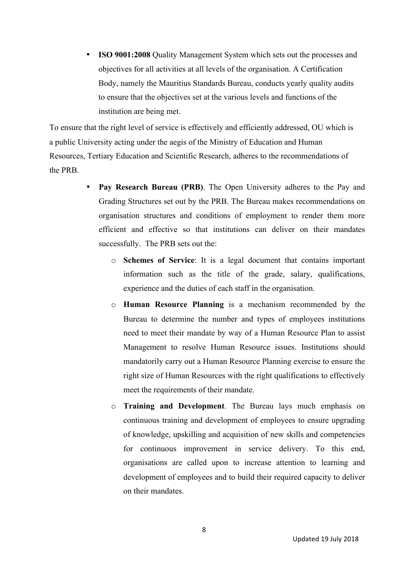• **ISO 9001:2008** Quality Management System which sets out the processes and objectives for all activities at all levels of the organisation. A Certification Body, namely the Mauritius Standards Bureau, conducts yearly quality audits to ensure that the objectives set at the various levels and functions of the institution are being met.

To ensure that the right level of service is effectively and efficiently addressed, OU which is a public University acting under the aegis of the Ministry of Education and Human Resources, Tertiary Education and Scientific Research, adheres to the recommendations of the PRB.

- **Pay Research Bureau (PRB)**. The Open University adheres to the Pay and Grading Structures set out by the PRB. The Bureau makes recommendations on organisation structures and conditions of employment to render them more efficient and effective so that institutions can deliver on their mandates successfully. The PRB sets out the:
	- o **Schemes of Service**: It is a legal document that contains important information such as the title of the grade, salary, qualifications, experience and the duties of each staff in the organisation.
	- o **Human Resource Planning** is a mechanism recommended by the Bureau to determine the number and types of employees institutions need to meet their mandate by way of a Human Resource Plan to assist Management to resolve Human Resource issues. Institutions should mandatorily carry out a Human Resource Planning exercise to ensure the right size of Human Resources with the right qualifications to effectively meet the requirements of their mandate.
	- o **Training and Development**. The Bureau lays much emphasis on continuous training and development of employees to ensure upgrading of knowledge, upskilling and acquisition of new skills and competencies for continuous improvement in service delivery. To this end, organisations are called upon to increase attention to learning and development of employees and to build their required capacity to deliver on their mandates.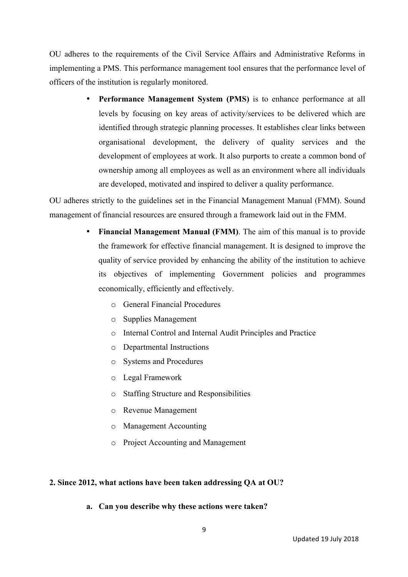OU adheres to the requirements of the Civil Service Affairs and Administrative Reforms in implementing a PMS. This performance management tool ensures that the performance level of officers of the institution is regularly monitored.

> **Performance Management System (PMS)** is to enhance performance at all levels by focusing on key areas of activity/services to be delivered which are identified through strategic planning processes. It establishes clear links between organisational development, the delivery of quality services and the development of employees at work. It also purports to create a common bond of ownership among all employees as well as an environment where all individuals are developed, motivated and inspired to deliver a quality performance.

OU adheres strictly to the guidelines set in the Financial Management Manual (FMM). Sound management of financial resources are ensured through a framework laid out in the FMM.

- **Financial Management Manual (FMM)**. The aim of this manual is to provide the framework for effective financial management. It is designed to improve the quality of service provided by enhancing the ability of the institution to achieve its objectives of implementing Government policies and programmes economically, efficiently and effectively.
	- o General Financial Procedures
	- o Supplies Management
	- o Internal Control and Internal Audit Principles and Practice
	- o Departmental Instructions
	- o Systems and Procedures
	- o Legal Framework
	- o Staffing Structure and Responsibilities
	- o Revenue Management
	- o Management Accounting
	- o Project Accounting and Management

## **2. Since 2012, what actions have been taken addressing QA at OU?**

**a. Can you describe why these actions were taken?**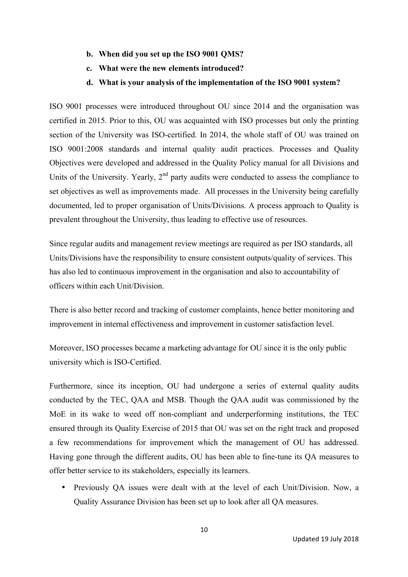- **b. When did you set up the ISO 9001 QMS?**
- **c. What were the new elements introduced?**
- **d. What is your analysis of the implementation of the ISO 9001 system?**

ISO 9001 processes were introduced throughout OU since 2014 and the organisation was certified in 2015. Prior to this, OU was acquainted with ISO processes but only the printing section of the University was ISO-certified. In 2014, the whole staff of OU was trained on ISO 9001:2008 standards and internal quality audit practices. Processes and Quality Objectives were developed and addressed in the Quality Policy manual for all Divisions and Units of the University. Yearly, 2<sup>nd</sup> party audits were conducted to assess the compliance to set objectives as well as improvements made. All processes in the University being carefully documented, led to proper organisation of Units/Divisions. A process approach to Quality is prevalent throughout the University, thus leading to effective use of resources.

Since regular audits and management review meetings are required as per ISO standards, all Units/Divisions have the responsibility to ensure consistent outputs/quality of services. This has also led to continuous improvement in the organisation and also to accountability of officers within each Unit/Division.

There is also better record and tracking of customer complaints, hence better monitoring and improvement in internal effectiveness and improvement in customer satisfaction level.

Moreover, ISO processes became a marketing advantage for OU since it is the only public university which is ISO-Certified.

Furthermore, since its inception, OU had undergone a series of external quality audits conducted by the TEC, QAA and MSB. Though the QAA audit was commissioned by the MoE in its wake to weed off non-compliant and underperforming institutions, the TEC ensured through its Quality Exercise of 2015 that OU was set on the right track and proposed a few recommendations for improvement which the management of OU has addressed. Having gone through the different audits, OU has been able to fine-tune its QA measures to offer better service to its stakeholders, especially its learners.

• Previously QA issues were dealt with at the level of each Unit/Division. Now, a Quality Assurance Division has been set up to look after all QA measures.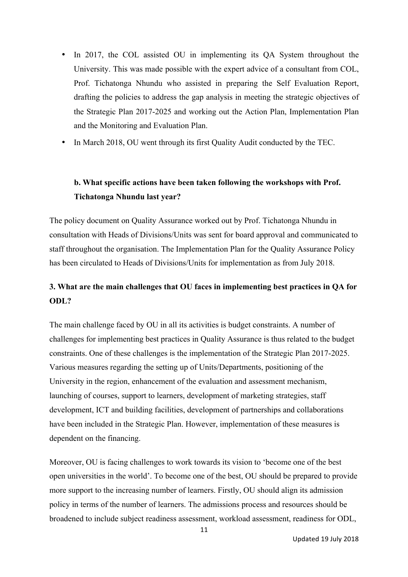- In 2017, the COL assisted OU in implementing its QA System throughout the University. This was made possible with the expert advice of a consultant from COL, Prof. Tichatonga Nhundu who assisted in preparing the Self Evaluation Report, drafting the policies to address the gap analysis in meeting the strategic objectives of the Strategic Plan 2017-2025 and working out the Action Plan, Implementation Plan and the Monitoring and Evaluation Plan.
- In March 2018, OU went through its first Quality Audit conducted by the TEC.

## **b. What specific actions have been taken following the workshops with Prof. Tichatonga Nhundu last year?**

The policy document on Quality Assurance worked out by Prof. Tichatonga Nhundu in consultation with Heads of Divisions/Units was sent for board approval and communicated to staff throughout the organisation. The Implementation Plan for the Quality Assurance Policy has been circulated to Heads of Divisions/Units for implementation as from July 2018.

## **3. What are the main challenges that OU faces in implementing best practices in QA for ODL?**

The main challenge faced by OU in all its activities is budget constraints. A number of challenges for implementing best practices in Quality Assurance is thus related to the budget constraints. One of these challenges is the implementation of the Strategic Plan 2017-2025. Various measures regarding the setting up of Units/Departments, positioning of the University in the region, enhancement of the evaluation and assessment mechanism, launching of courses, support to learners, development of marketing strategies, staff development, ICT and building facilities, development of partnerships and collaborations have been included in the Strategic Plan. However, implementation of these measures is dependent on the financing.

Moreover, OU is facing challenges to work towards its vision to 'become one of the best open universities in the world'. To become one of the best, OU should be prepared to provide more support to the increasing number of learners. Firstly, OU should align its admission policy in terms of the number of learners. The admissions process and resources should be broadened to include subject readiness assessment, workload assessment, readiness for ODL,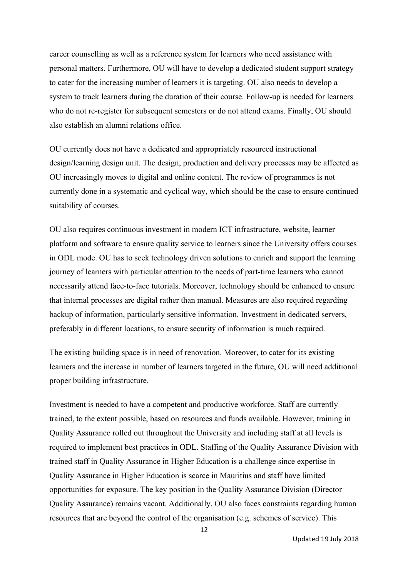career counselling as well as a reference system for learners who need assistance with personal matters. Furthermore, OU will have to develop a dedicated student support strategy to cater for the increasing number of learners it is targeting. OU also needs to develop a system to track learners during the duration of their course. Follow-up is needed for learners who do not re-register for subsequent semesters or do not attend exams. Finally, OU should also establish an alumni relations office.

OU currently does not have a dedicated and appropriately resourced instructional design/learning design unit. The design, production and delivery processes may be affected as OU increasingly moves to digital and online content. The review of programmes is not currently done in a systematic and cyclical way, which should be the case to ensure continued suitability of courses.

OU also requires continuous investment in modern ICT infrastructure, website, learner platform and software to ensure quality service to learners since the University offers courses in ODL mode. OU has to seek technology driven solutions to enrich and support the learning journey of learners with particular attention to the needs of part-time learners who cannot necessarily attend face-to-face tutorials. Moreover, technology should be enhanced to ensure that internal processes are digital rather than manual. Measures are also required regarding backup of information, particularly sensitive information. Investment in dedicated servers, preferably in different locations, to ensure security of information is much required.

The existing building space is in need of renovation. Moreover, to cater for its existing learners and the increase in number of learners targeted in the future, OU will need additional proper building infrastructure.

Investment is needed to have a competent and productive workforce. Staff are currently trained, to the extent possible, based on resources and funds available. However, training in Quality Assurance rolled out throughout the University and including staff at all levels is required to implement best practices in ODL. Staffing of the Quality Assurance Division with trained staff in Quality Assurance in Higher Education is a challenge since expertise in Quality Assurance in Higher Education is scarce in Mauritius and staff have limited opportunities for exposure. The key position in the Quality Assurance Division (Director Quality Assurance) remains vacant. Additionally, OU also faces constraints regarding human resources that are beyond the control of the organisation (e.g. schemes of service). This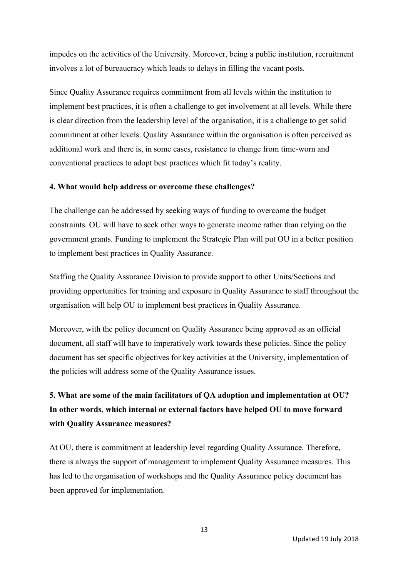impedes on the activities of the University. Moreover, being a public institution, recruitment involves a lot of bureaucracy which leads to delays in filling the vacant posts.

Since Quality Assurance requires commitment from all levels within the institution to implement best practices, it is often a challenge to get involvement at all levels. While there is clear direction from the leadership level of the organisation, it is a challenge to get solid commitment at other levels. Quality Assurance within the organisation is often perceived as additional work and there is, in some cases, resistance to change from time-worn and conventional practices to adopt best practices which fit today's reality.

### **4. What would help address or overcome these challenges?**

The challenge can be addressed by seeking ways of funding to overcome the budget constraints. OU will have to seek other ways to generate income rather than relying on the government grants. Funding to implement the Strategic Plan will put OU in a better position to implement best practices in Quality Assurance.

Staffing the Quality Assurance Division to provide support to other Units/Sections and providing opportunities for training and exposure in Quality Assurance to staff throughout the organisation will help OU to implement best practices in Quality Assurance.

Moreover, with the policy document on Quality Assurance being approved as an official document, all staff will have to imperatively work towards these policies. Since the policy document has set specific objectives for key activities at the University, implementation of the policies will address some of the Quality Assurance issues.

# **5. What are some of the main facilitators of QA adoption and implementation at OU? In other words, which internal or external factors have helped OU to move forward with Quality Assurance measures?**

At OU, there is commitment at leadership level regarding Quality Assurance. Therefore, there is always the support of management to implement Quality Assurance measures. This has led to the organisation of workshops and the Quality Assurance policy document has been approved for implementation.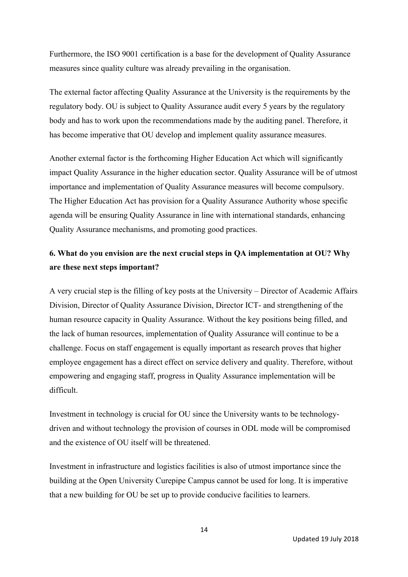Furthermore, the ISO 9001 certification is a base for the development of Quality Assurance measures since quality culture was already prevailing in the organisation.

The external factor affecting Quality Assurance at the University is the requirements by the regulatory body. OU is subject to Quality Assurance audit every 5 years by the regulatory body and has to work upon the recommendations made by the auditing panel. Therefore, it has become imperative that OU develop and implement quality assurance measures.

Another external factor is the forthcoming Higher Education Act which will significantly impact Quality Assurance in the higher education sector. Quality Assurance will be of utmost importance and implementation of Quality Assurance measures will become compulsory. The Higher Education Act has provision for a Quality Assurance Authority whose specific agenda will be ensuring Quality Assurance in line with international standards, enhancing Quality Assurance mechanisms, and promoting good practices.

## **6. What do you envision are the next crucial steps in QA implementation at OU? Why are these next steps important?**

A very crucial step is the filling of key posts at the University – Director of Academic Affairs Division, Director of Quality Assurance Division, Director ICT- and strengthening of the human resource capacity in Quality Assurance. Without the key positions being filled, and the lack of human resources, implementation of Quality Assurance will continue to be a challenge. Focus on staff engagement is equally important as research proves that higher employee engagement has a direct effect on service delivery and quality. Therefore, without empowering and engaging staff, progress in Quality Assurance implementation will be difficult.

Investment in technology is crucial for OU since the University wants to be technologydriven and without technology the provision of courses in ODL mode will be compromised and the existence of OU itself will be threatened.

Investment in infrastructure and logistics facilities is also of utmost importance since the building at the Open University Curepipe Campus cannot be used for long. It is imperative that a new building for OU be set up to provide conducive facilities to learners.